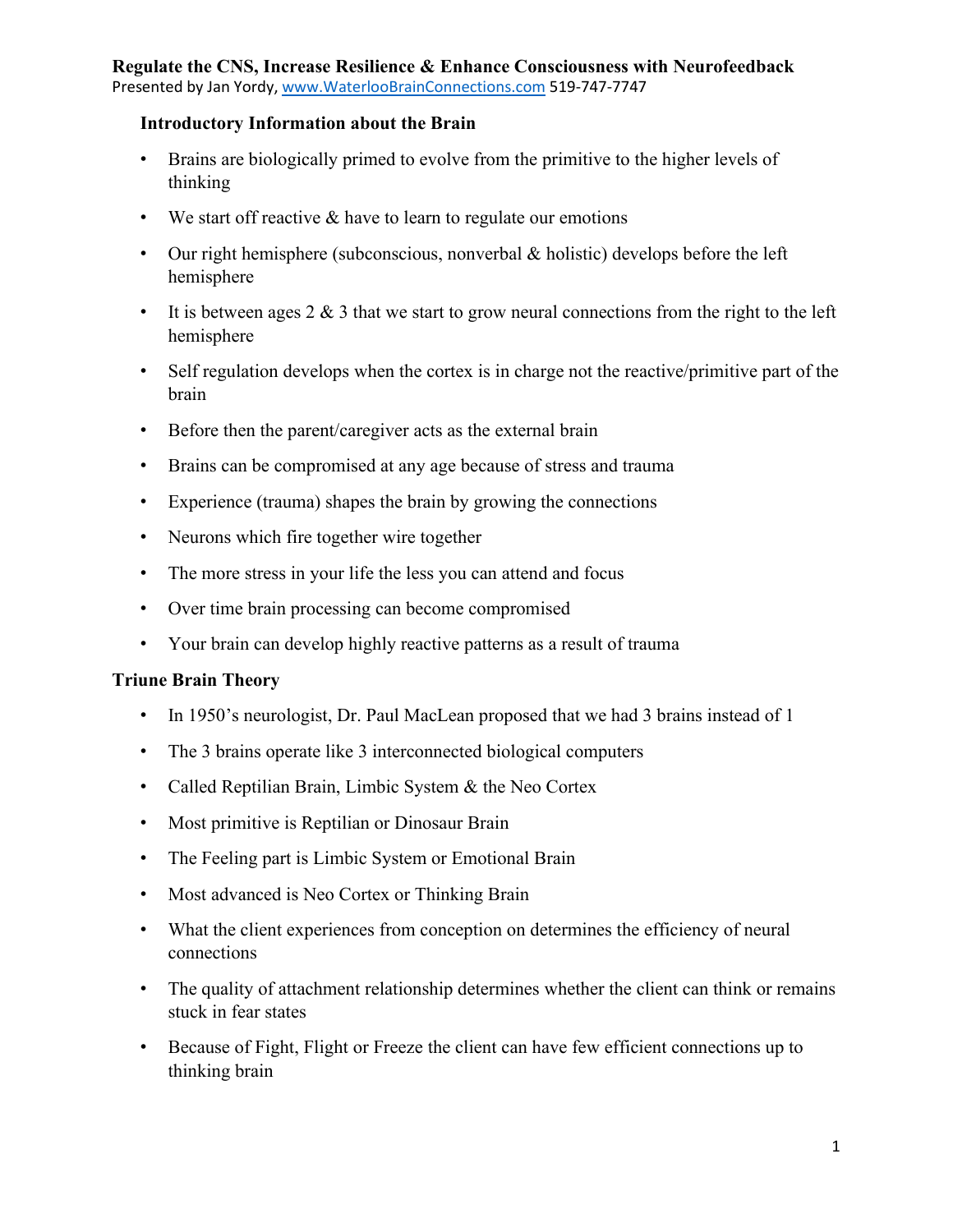# **Regulate the CNS, Increase Resilience & Enhance Consciousness with Neurofeedback**

Presented by Jan Yordy, [www.WaterlooBrainConnections.com](http://www.waterloobrainconnections.com/) 519-747-7747

#### **Introductory Information about the Brain**

- Brains are biologically primed to evolve from the primitive to the higher levels of thinking
- We start off reactive  $&$  have to learn to regulate our emotions
- Our right hemisphere (subconscious, nonverbal  $\&$  holistic) develops before the left hemisphere
- It is between ages  $2 \& 3$  that we start to grow neural connections from the right to the left hemisphere
- Self regulation develops when the cortex is in charge not the reactive/primitive part of the brain
- Before then the parent/caregiver acts as the external brain
- Brains can be compromised at any age because of stress and trauma
- Experience (trauma) shapes the brain by growing the connections
- Neurons which fire together wire together
- The more stress in your life the less you can attend and focus
- Over time brain processing can become compromised
- Your brain can develop highly reactive patterns as a result of trauma

#### **Triune Brain Theory**

- In 1950's neurologist, Dr. Paul MacLean proposed that we had 3 brains instead of 1
- The 3 brains operate like 3 interconnected biological computers
- Called Reptilian Brain, Limbic System & the Neo Cortex
- Most primitive is Reptilian or Dinosaur Brain
- The Feeling part is Limbic System or Emotional Brain
- Most advanced is Neo Cortex or Thinking Brain
- What the client experiences from conception on determines the efficiency of neural connections
- The quality of attachment relationship determines whether the client can think or remains stuck in fear states
- Because of Fight, Flight or Freeze the client can have few efficient connections up to thinking brain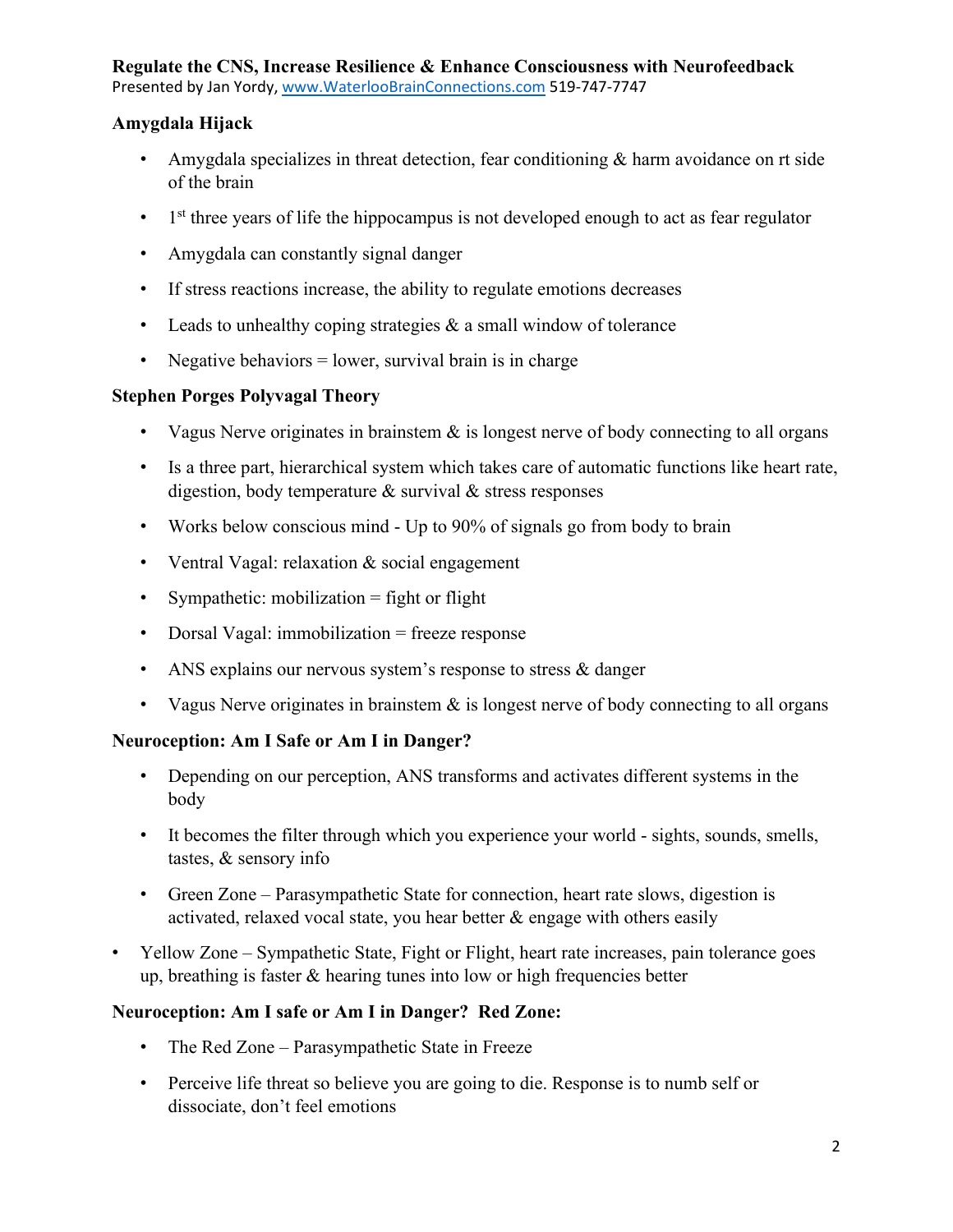## **Amygdala Hijack**

- Amygdala specializes in threat detection, fear conditioning & harm avoidance on rt side of the brain
- $\bullet$  1<sup>st</sup> three years of life the hippocampus is not developed enough to act as fear regulator
- Amygdala can constantly signal danger
- If stress reactions increase, the ability to regulate emotions decreases
- Leads to unhealthy coping strategies  $\&$  a small window of tolerance
- Negative behaviors  $=$  lower, survival brain is in charge

# **Stephen Porges Polyvagal Theory**

- Vagus Nerve originates in brainstem  $\&$  is longest nerve of body connecting to all organs
- Is a three part, hierarchical system which takes care of automatic functions like heart rate, digestion, body temperature & survival & stress responses
- Works below conscious mind Up to 90% of signals go from body to brain
- Ventral Vagal: relaxation & social engagement
- Sympathetic: mobilization = fight or flight
- Dorsal Vagal: immobilization = freeze response
- ANS explains our nervous system's response to stress & danger
- Vagus Nerve originates in brainstem  $\&$  is longest nerve of body connecting to all organs

# **Neuroception: Am I Safe or Am I in Danger?**

- Depending on our perception, ANS transforms and activates different systems in the body
- It becomes the filter through which you experience your world sights, sounds, smells, tastes, & sensory info
- Green Zone Parasympathetic State for connection, heart rate slows, digestion is activated, relaxed vocal state, you hear better  $\&$  engage with others easily
- Yellow Zone Sympathetic State, Fight or Flight, heart rate increases, pain tolerance goes up, breathing is faster & hearing tunes into low or high frequencies better

# **Neuroception: Am I safe or Am I in Danger? Red Zone:**

- The Red Zone Parasympathetic State in Freeze
- Perceive life threat so believe you are going to die. Response is to numb self or dissociate, don't feel emotions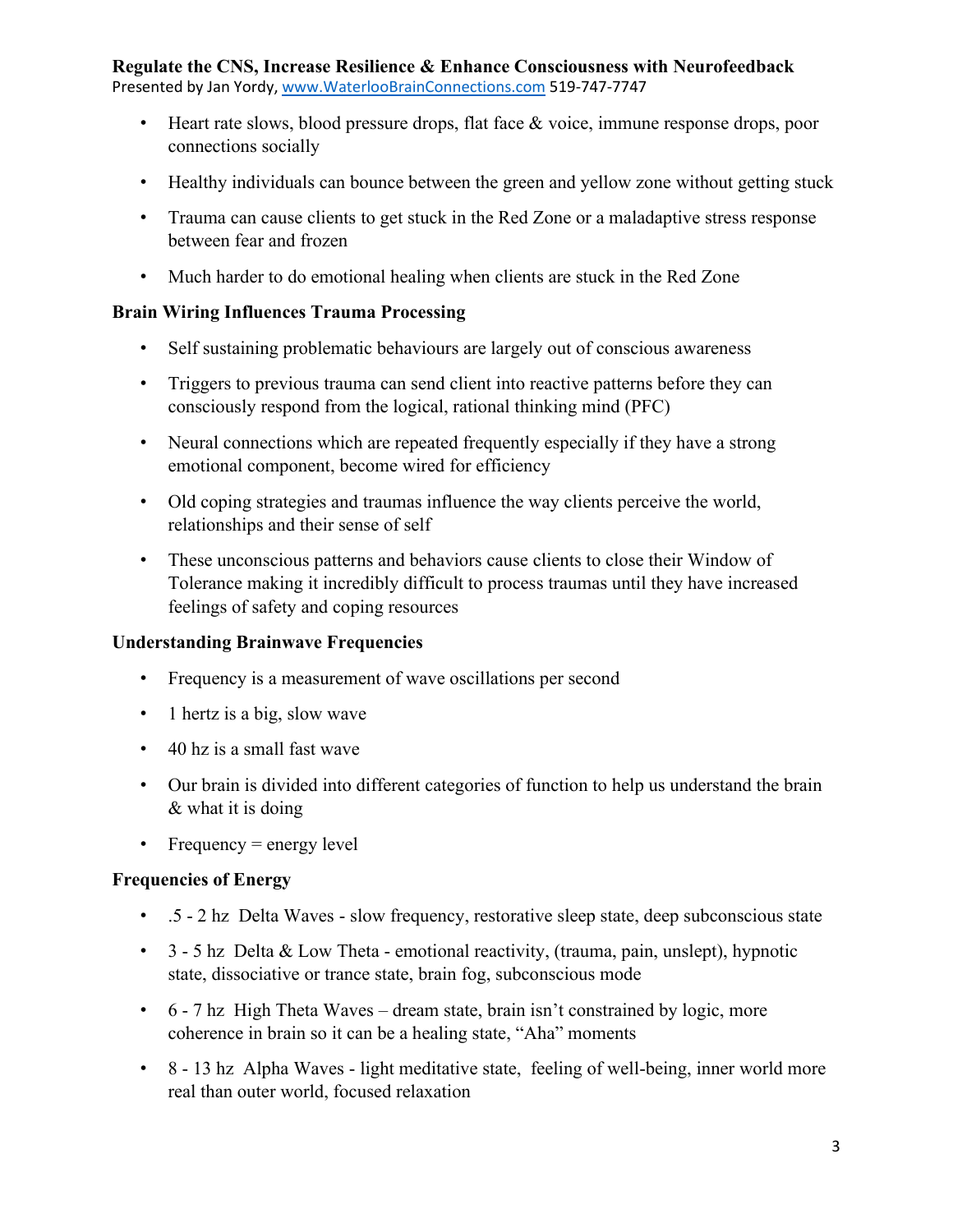- Heart rate slows, blood pressure drops, flat face & voice, immune response drops, poor connections socially
- Healthy individuals can bounce between the green and yellow zone without getting stuck
- Trauma can cause clients to get stuck in the Red Zone or a maladaptive stress response between fear and frozen
- Much harder to do emotional healing when clients are stuck in the Red Zone

#### **Brain Wiring Influences Trauma Processing**

- Self sustaining problematic behaviours are largely out of conscious awareness
- Triggers to previous trauma can send client into reactive patterns before they can consciously respond from the logical, rational thinking mind (PFC)
- Neural connections which are repeated frequently especially if they have a strong emotional component, become wired for efficiency
- Old coping strategies and traumas influence the way clients perceive the world, relationships and their sense of self
- These unconscious patterns and behaviors cause clients to close their Window of Tolerance making it incredibly difficult to process traumas until they have increased feelings of safety and coping resources

## **Understanding Brainwave Frequencies**

- Frequency is a measurement of wave oscillations per second
- 1 hertz is a big, slow wave
- 40 hz is a small fast wave
- Our brain is divided into different categories of function to help us understand the brain & what it is doing
- Frequency = energy level

## **Frequencies of Energy**

- .5 2 hz Delta Waves slow frequency, restorative sleep state, deep subconscious state
- 3 5 hz Delta & Low Theta emotional reactivity, (trauma, pain, unslept), hypnotic state, dissociative or trance state, brain fog, subconscious mode
- 6 7 hz High Theta Waves dream state, brain isn't constrained by logic, more coherence in brain so it can be a healing state, "Aha" moments
- 8 13 hz Alpha Waves light meditative state, feeling of well-being, inner world more real than outer world, focused relaxation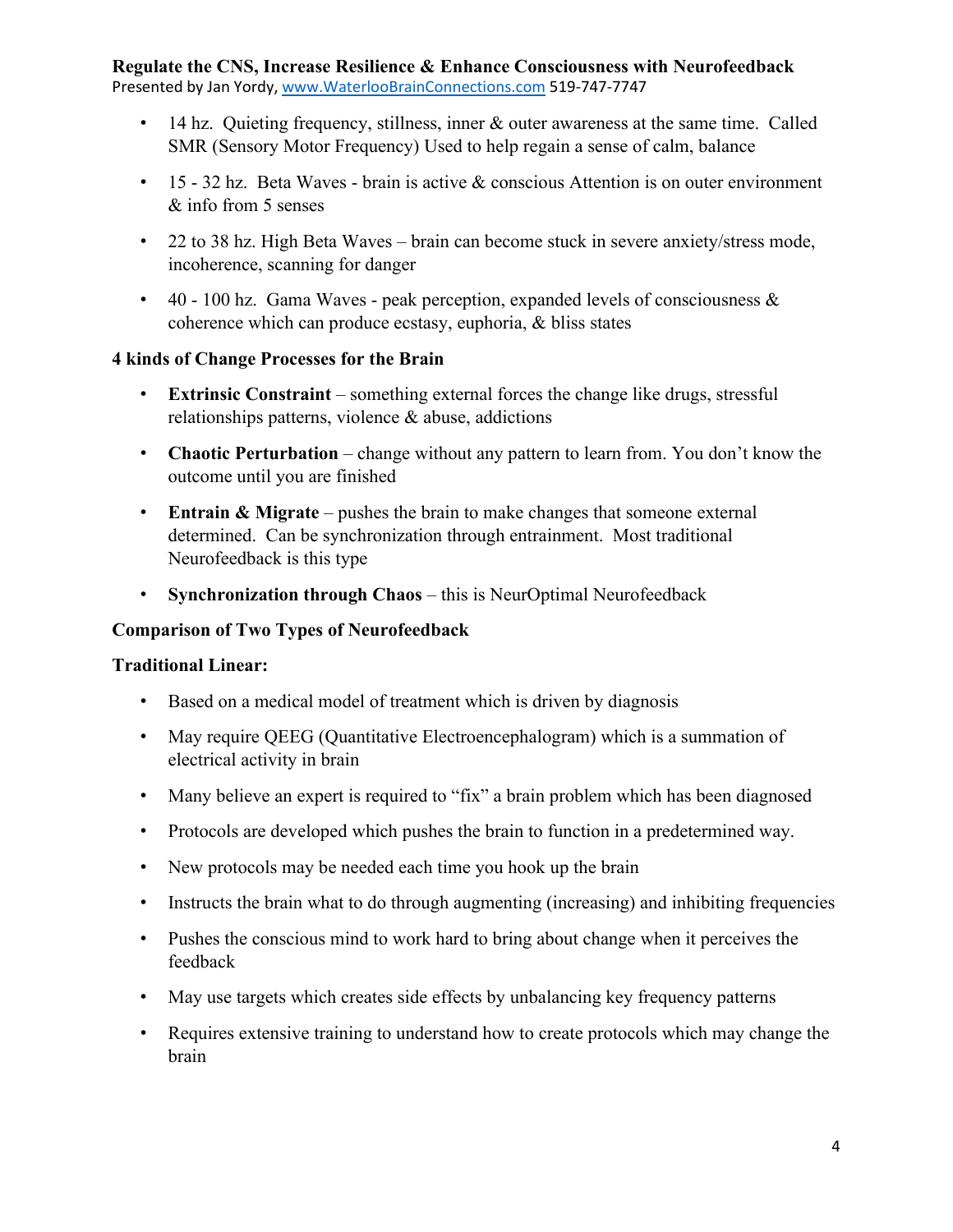- 14 hz. Quieting frequency, stillness, inner & outer awareness at the same time. Called SMR (Sensory Motor Frequency) Used to help regain a sense of calm, balance
- 15 32 hz. Beta Waves brain is active & conscious Attention is on outer environment & info from 5 senses
- 22 to 38 hz. High Beta Waves brain can become stuck in severe anxiety/stress mode, incoherence, scanning for danger
- 40 100 hz. Gama Waves peak perception, expanded levels of consciousness  $\&$ coherence which can produce ecstasy, euphoria, & bliss states

#### **4 kinds of Change Processes for the Brain**

- **Extrinsic Constraint** something external forces the change like drugs, stressful relationships patterns, violence & abuse, addictions
- **Chaotic Perturbation**  change without any pattern to learn from. You don't know the outcome until you are finished
- **Entrain & Migrate** pushes the brain to make changes that someone external determined. Can be synchronization through entrainment. Most traditional Neurofeedback is this type
- **Synchronization through Chaos**  this is NeurOptimal Neurofeedback

#### **Comparison of Two Types of Neurofeedback**

#### **Traditional Linear:**

- Based on a medical model of treatment which is driven by diagnosis
- May require QEEG (Quantitative Electroencephalogram) which is a summation of electrical activity in brain
- Many believe an expert is required to "fix" a brain problem which has been diagnosed
- Protocols are developed which pushes the brain to function in a predetermined way.
- New protocols may be needed each time you hook up the brain
- Instructs the brain what to do through augmenting (increasing) and inhibiting frequencies
- Pushes the conscious mind to work hard to bring about change when it perceives the feedback
- May use targets which creates side effects by unbalancing key frequency patterns
- Requires extensive training to understand how to create protocols which may change the brain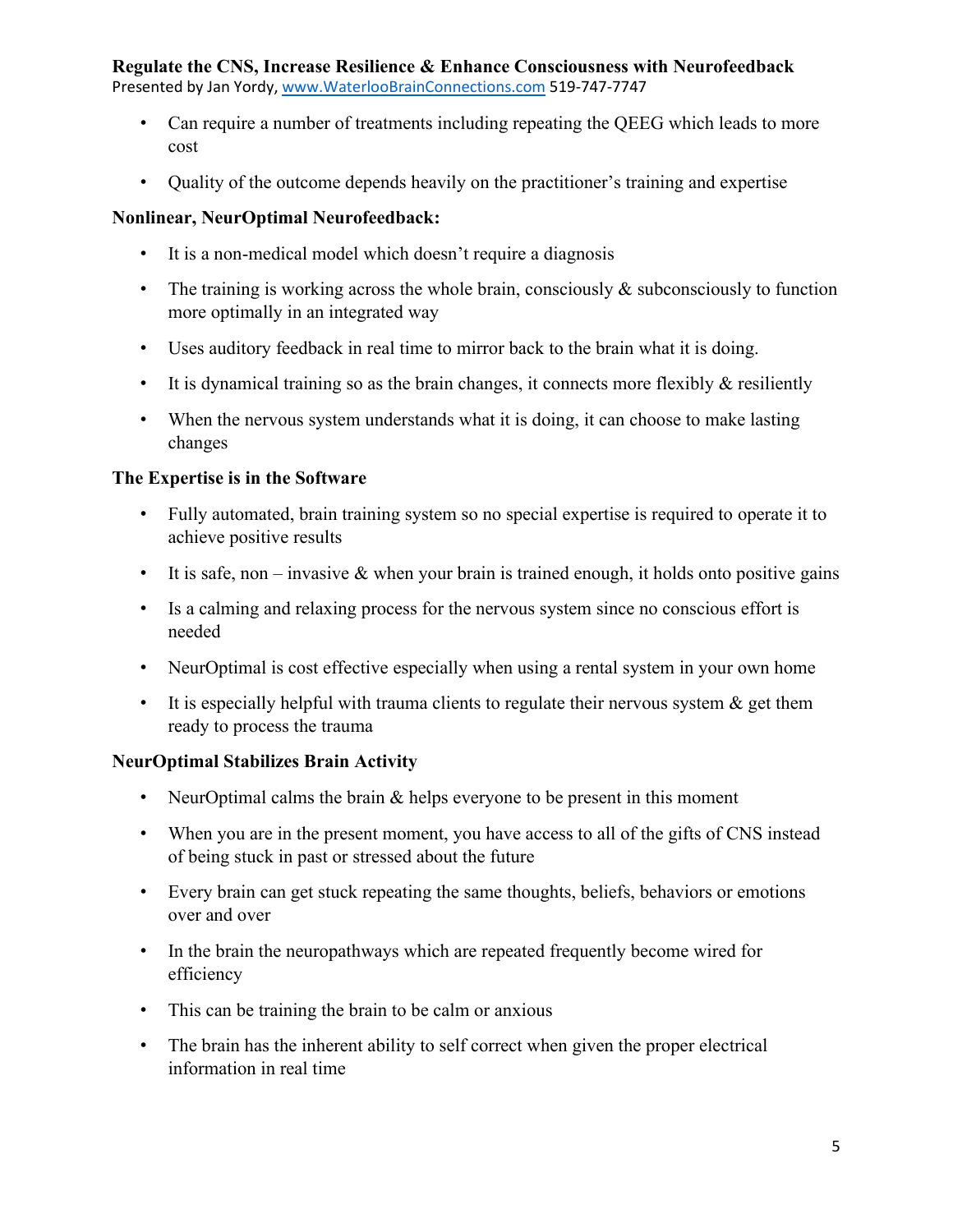- Can require a number of treatments including repeating the QEEG which leads to more cost
- Quality of the outcome depends heavily on the practitioner's training and expertise

# **Nonlinear, NeurOptimal Neurofeedback:**

- It is a non-medical model which doesn't require a diagnosis
- The training is working across the whole brain, consciously  $\&$  subconsciously to function more optimally in an integrated way
- Uses auditory feedback in real time to mirror back to the brain what it is doing.
- It is dynamical training so as the brain changes, it connects more flexibly  $\&$  resiliently
- When the nervous system understands what it is doing, it can choose to make lasting changes

# **The Expertise is in the Software**

- Fully automated, brain training system so no special expertise is required to operate it to achieve positive results
- It is safe, non invasive  $\&$  when your brain is trained enough, it holds onto positive gains
- Is a calming and relaxing process for the nervous system since no conscious effort is needed
- NeurOptimal is cost effective especially when using a rental system in your own home
- It is especially helpful with trauma clients to regulate their nervous system  $\&$  get them ready to process the trauma

# **NeurOptimal Stabilizes Brain Activity**

- NeurOptimal calms the brain & helps everyone to be present in this moment
- When you are in the present moment, you have access to all of the gifts of CNS instead of being stuck in past or stressed about the future
- Every brain can get stuck repeating the same thoughts, beliefs, behaviors or emotions over and over
- In the brain the neuropathways which are repeated frequently become wired for efficiency
- This can be training the brain to be calm or anxious
- The brain has the inherent ability to self correct when given the proper electrical information in real time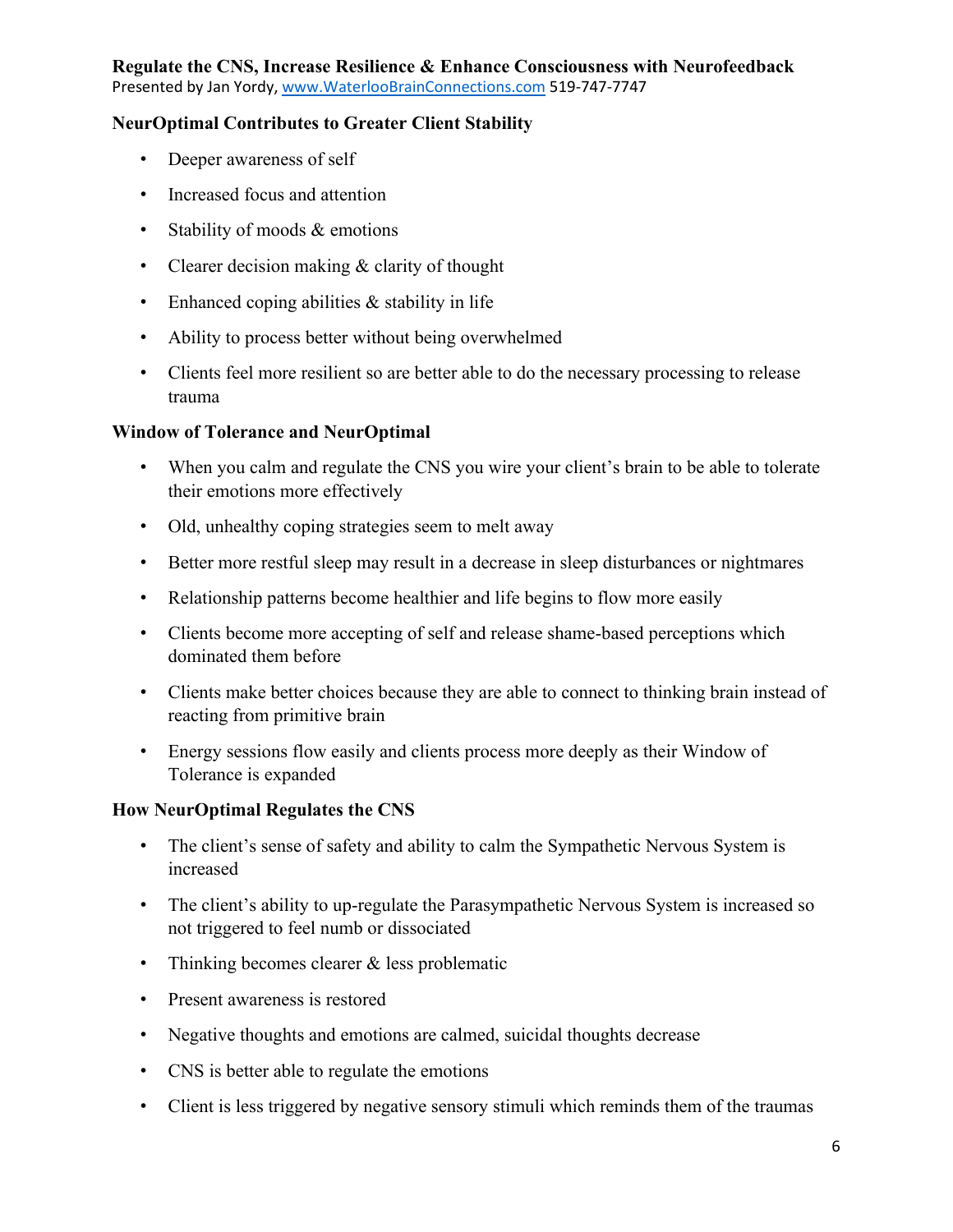# **Regulate the CNS, Increase Resilience & Enhance Consciousness with Neurofeedback**

Presented by Jan Yordy, [www.WaterlooBrainConnections.com](http://www.waterloobrainconnections.com/) 519-747-7747

### **NeurOptimal Contributes to Greater Client Stability**

- Deeper awareness of self
- Increased focus and attention
- Stability of moods & emotions
- Clearer decision making & clarity of thought
- Enhanced coping abilities  $&$  stability in life
- Ability to process better without being overwhelmed
- Clients feel more resilient so are better able to do the necessary processing to release trauma

#### **Window of Tolerance and NeurOptimal**

- When you calm and regulate the CNS you wire your client's brain to be able to tolerate their emotions more effectively
- Old, unhealthy coping strategies seem to melt away
- Better more restful sleep may result in a decrease in sleep disturbances or nightmares
- Relationship patterns become healthier and life begins to flow more easily
- Clients become more accepting of self and release shame-based perceptions which dominated them before
- Clients make better choices because they are able to connect to thinking brain instead of reacting from primitive brain
- Energy sessions flow easily and clients process more deeply as their Window of Tolerance is expanded

#### **How NeurOptimal Regulates the CNS**

- The client's sense of safety and ability to calm the Sympathetic Nervous System is increased
- The client's ability to up-regulate the Parasympathetic Nervous System is increased so not triggered to feel numb or dissociated
- Thinking becomes clearer & less problematic
- Present awareness is restored
- Negative thoughts and emotions are calmed, suicidal thoughts decrease
- CNS is better able to regulate the emotions
- Client is less triggered by negative sensory stimuli which reminds them of the traumas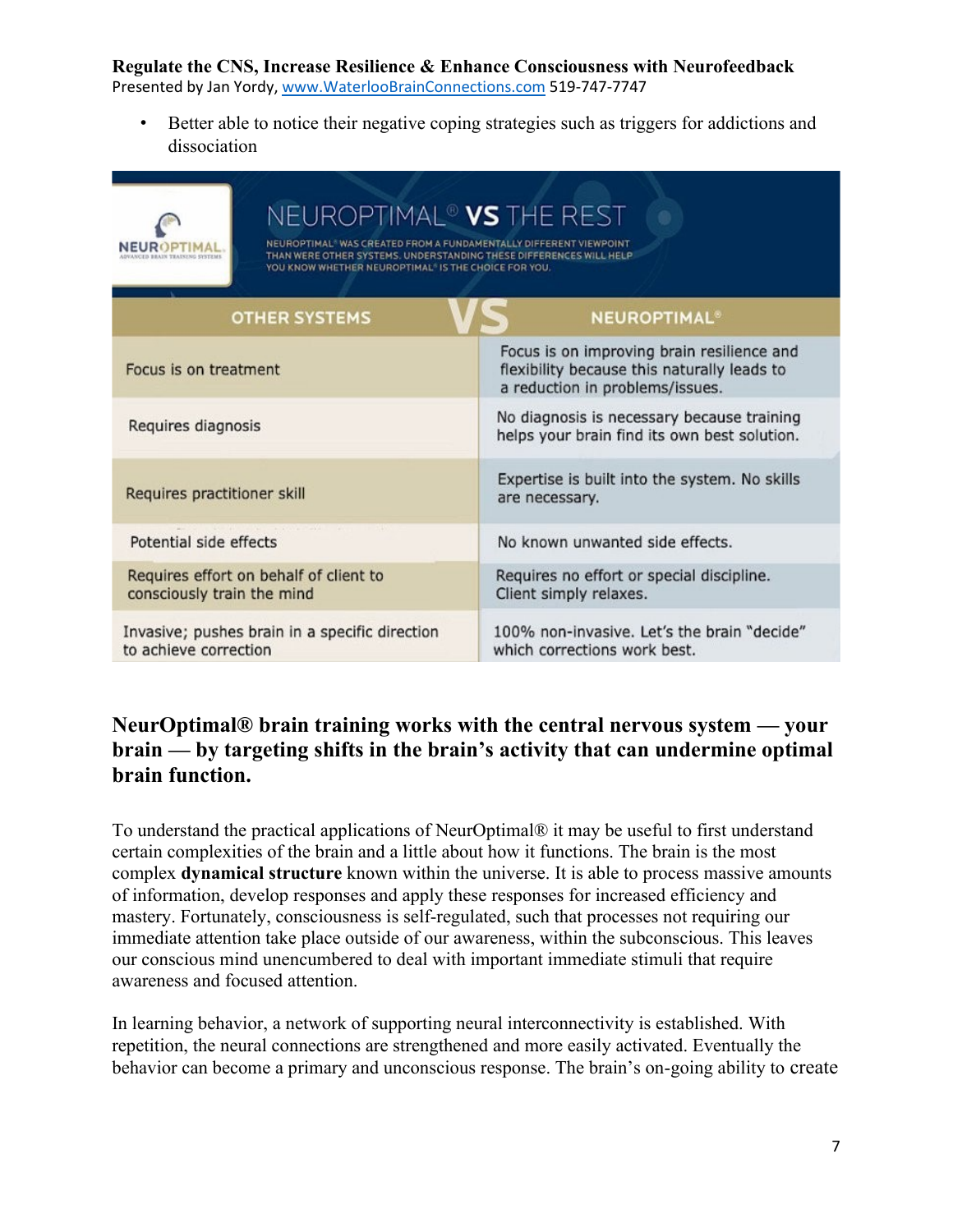## **Regulate the CNS, Increase Resilience & Enhance Consciousness with Neurofeedback**

Presented by Jan Yordy, [www.WaterlooBrainConnections.com](http://www.waterloobrainconnections.com/) 519-747-7747

• Better able to notice their negative coping strategies such as triggers for addictions and dissociation

| NEUROPTIMAL® VS THE REST<br>* WAS CREATED FROM A FUNDAMENTALLY DIFFERENT VIEWPOINT<br>THAN WERE OTHER SYSTEMS. UNDERSTANDING THESE DIFFERENCES WILL HELP<br>YOU KNOW WHETHER NEUROPTIMAL® IS THE CHOICE FOR YOU. |                                                                                                                              |
|------------------------------------------------------------------------------------------------------------------------------------------------------------------------------------------------------------------|------------------------------------------------------------------------------------------------------------------------------|
| <b>OTHER SYSTEMS</b>                                                                                                                                                                                             | <b>NEUROPTIMAL<sup>®</sup></b>                                                                                               |
| Focus is on treatment                                                                                                                                                                                            | Focus is on improving brain resilience and<br>flexibility because this naturally leads to<br>a reduction in problems/issues. |
| Requires diagnosis                                                                                                                                                                                               | No diagnosis is necessary because training<br>helps your brain find its own best solution.                                   |
| Requires practitioner skill                                                                                                                                                                                      | Expertise is built into the system. No skills<br>are necessary.                                                              |
| Potential side effects                                                                                                                                                                                           | No known unwanted side effects.                                                                                              |
| Requires effort on behalf of client to<br>consciously train the mind                                                                                                                                             | Requires no effort or special discipline.<br>Client simply relaxes.                                                          |
| Invasive; pushes brain in a specific direction<br>to achieve correction                                                                                                                                          | 100% non-invasive. Let's the brain "decide"<br>which corrections work best.                                                  |

# **NeurOptimal® brain training works with the central nervous system — your brain — by targeting shifts in the brain's activity that can undermine optimal brain function.**

To understand the practical applications of NeurOptimal® it may be useful to first understand certain complexities of the brain and a little about how it functions. The brain is the most complex **dynamical structure** known within the universe. It is able to process massive amounts of information, develop responses and apply these responses for increased efficiency and mastery. Fortunately, consciousness is self-regulated, such that processes not requiring our immediate attention take place outside of our awareness, within the subconscious. This leaves our conscious mind unencumbered to deal with important immediate stimuli that require awareness and focused attention.

In learning behavior, a network of supporting neural interconnectivity is established. With repetition, the neural connections are strengthened and more easily activated. Eventually the behavior can become a primary and unconscious response. The brain's on-going ability to create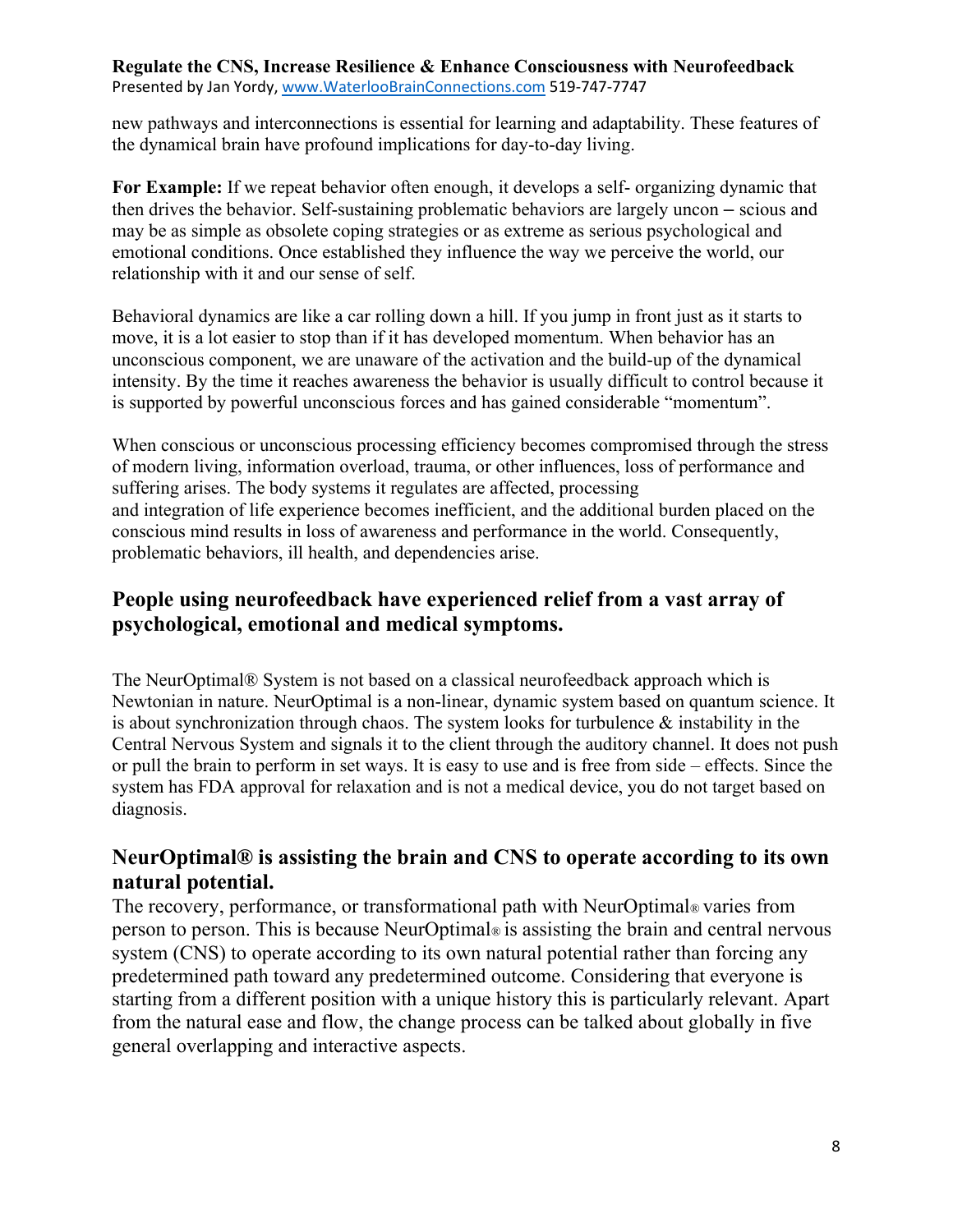new pathways and interconnections is essential for learning and adaptability. These features of the dynamical brain have profound implications for day-to-day living.

**For Example:** If we repeat behavior often enough, it develops a self- organizing dynamic that then drives the behavior. Self-sustaining problematic behaviors are largely uncon – scious and may be as simple as obsolete coping strategies or as extreme as serious psychological and emotional conditions. Once established they influence the way we perceive the world, our relationship with it and our sense of self.

Behavioral dynamics are like a car rolling down a hill. If you jump in front just as it starts to move, it is a lot easier to stop than if it has developed momentum. When behavior has an unconscious component, we are unaware of the activation and the build-up of the dynamical intensity. By the time it reaches awareness the behavior is usually difficult to control because it is supported by powerful unconscious forces and has gained considerable "momentum".

When conscious or unconscious processing efficiency becomes compromised through the stress of modern living, information overload, trauma, or other influences, loss of performance and suffering arises. The body systems it regulates are affected, processing and integration of life experience becomes inefficient, and the additional burden placed on the conscious mind results in loss of awareness and performance in the world. Consequently, problematic behaviors, ill health, and dependencies arise.

# **People using neurofeedback have experienced relief from a vast array of psychological, emotional and medical symptoms.**

The NeurOptimal® System is not based on a classical neurofeedback approach which is Newtonian in nature. NeurOptimal is a non-linear, dynamic system based on quantum science. It is about synchronization through chaos. The system looks for turbulence & instability in the Central Nervous System and signals it to the client through the auditory channel. It does not push or pull the brain to perform in set ways. It is easy to use and is free from side – effects. Since the system has FDA approval for relaxation and is not a medical device, you do not target based on diagnosis.

# **NeurOptimal® is assisting the brain and CNS to operate according to its own natural potential.**

The recovery, performance, or transformational path with NeurOptimal® varies from person to person. This is because NeurOptimal® is assisting the brain and central nervous system (CNS) to operate according to its own natural potential rather than forcing any predetermined path toward any predetermined outcome. Considering that everyone is starting from a different position with a unique history this is particularly relevant. Apart from the natural ease and flow, the change process can be talked about globally in five general overlapping and interactive aspects.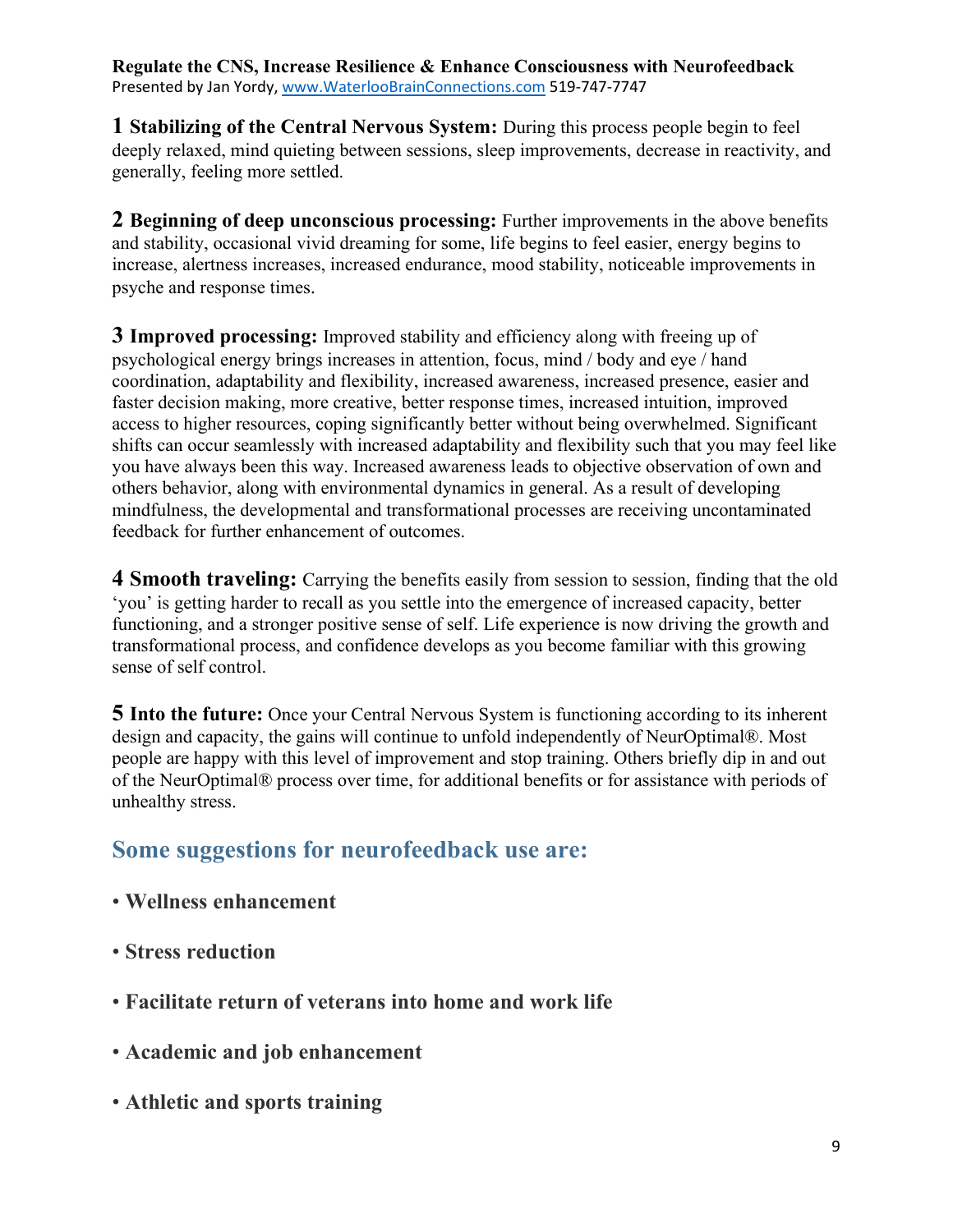**1 Stabilizing of the Central Nervous System:** During this process people begin to feel deeply relaxed, mind quieting between sessions, sleep improvements, decrease in reactivity, and generally, feeling more settled.

**2 Beginning of deep unconscious processing:** Further improvements in the above benefits and stability, occasional vivid dreaming for some, life begins to feel easier, energy begins to increase, alertness increases, increased endurance, mood stability, noticeable improvements in psyche and response times.

**3 Improved processing:** Improved stability and efficiency along with freeing up of psychological energy brings increases in attention, focus, mind / body and eye / hand coordination, adaptability and flexibility, increased awareness, increased presence, easier and faster decision making, more creative, better response times, increased intuition, improved access to higher resources, coping significantly better without being overwhelmed. Significant shifts can occur seamlessly with increased adaptability and flexibility such that you may feel like you have always been this way. Increased awareness leads to objective observation of own and others behavior, along with environmental dynamics in general. As a result of developing mindfulness, the developmental and transformational processes are receiving uncontaminated feedback for further enhancement of outcomes.

**4 Smooth traveling:** Carrying the benefits easily from session to session, finding that the old 'you' is getting harder to recall as you settle into the emergence of increased capacity, better functioning, and a stronger positive sense of self. Life experience is now driving the growth and transformational process, and confidence develops as you become familiar with this growing sense of self control.

**5 Into the future:** Once your Central Nervous System is functioning according to its inherent design and capacity, the gains will continue to unfold independently of NeurOptimal®. Most people are happy with this level of improvement and stop training. Others briefly dip in and out of the NeurOptimal® process over time, for additional benefits or for assistance with periods of unhealthy stress.

# **Some suggestions for neurofeedback use are:**

- **Wellness enhancement**
- **Stress reduction**
- **Facilitate return of veterans into home and work life**
- **Academic and job enhancement**
- **Athletic and sports training**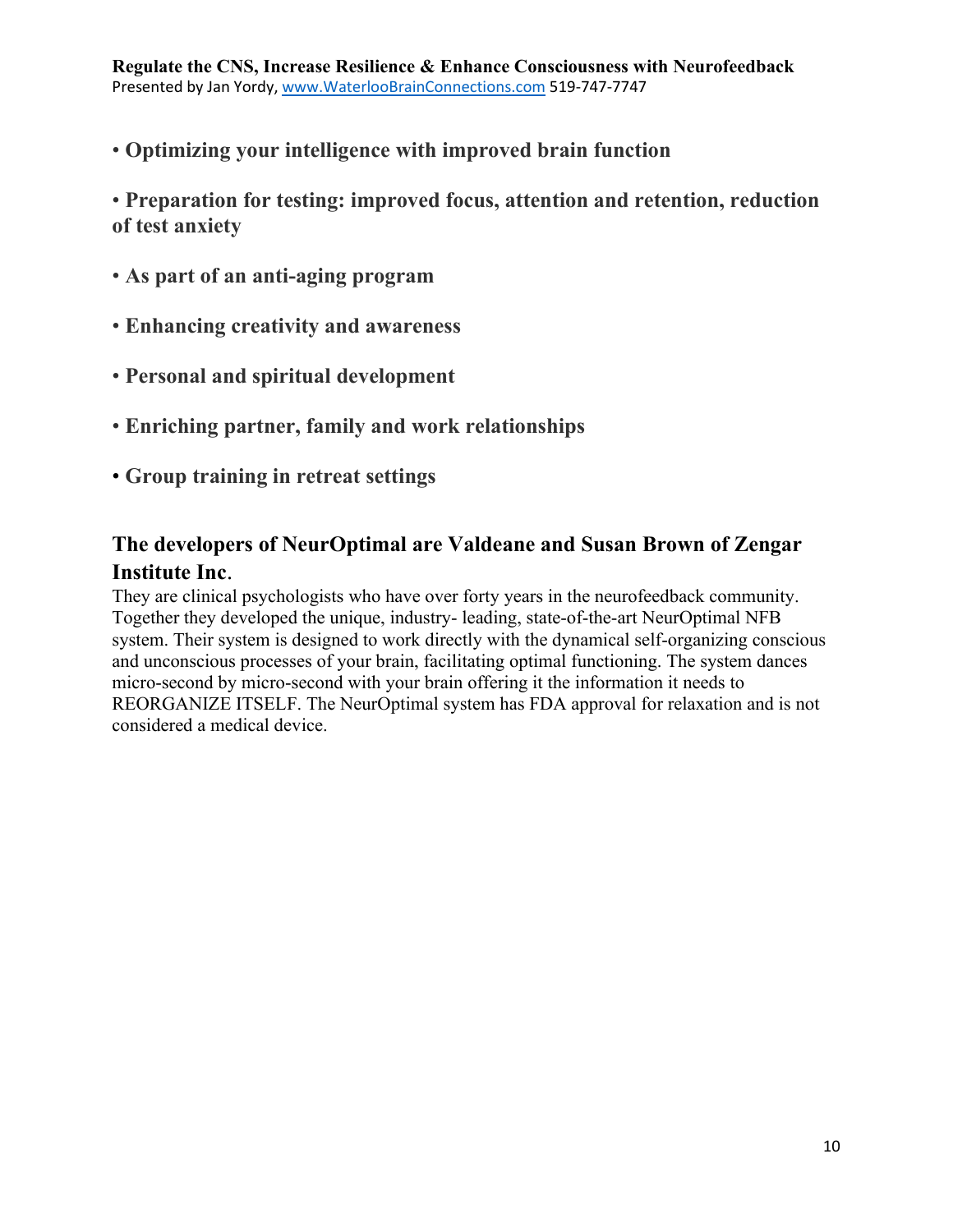• **Optimizing your intelligence with improved brain function** 

• **Preparation for testing: improved focus, attention and retention, reduction of test anxiety** 

- **As part of an anti-aging program**
- **Enhancing creativity and awareness**
- **Personal and spiritual development**
- **Enriching partner, family and work relationships**
- **Group training in retreat settings**

# **The developers of NeurOptimal are Valdeane and Susan Brown of Zengar Institute Inc**.

They are clinical psychologists who have over forty years in the neurofeedback community. Together they developed the unique, industry- leading, state-of-the-art NeurOptimal NFB system. Their system is designed to work directly with the dynamical self-organizing conscious and unconscious processes of your brain, facilitating optimal functioning. The system dances micro-second by micro-second with your brain offering it the information it needs to REORGANIZE ITSELF. The NeurOptimal system has FDA approval for relaxation and is not considered a medical device.